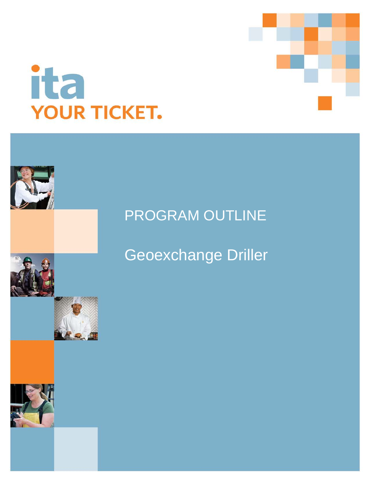



# PROGRAM OUTLINE

# Geoexchange Driller

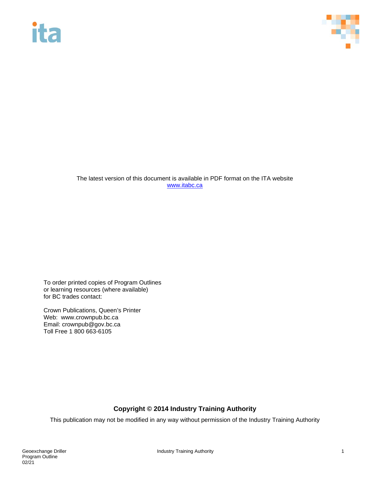# **ita**



The latest version of this document is available in PDF format on the ITA website [www.itabc.ca](http://www.itabc.ca/)

To order printed copies of Program Outlines or learning resources (where available) for BC trades contact:

Crown Publications, Queen's Printer Web: www.crownpub.bc.ca Email: crownpub@gov.bc.ca Toll Free 1 800 663-6105

## **Copyright © 2014 Industry Training Authority**

This publication may not be modified in any way without permission of the Industry Training Authority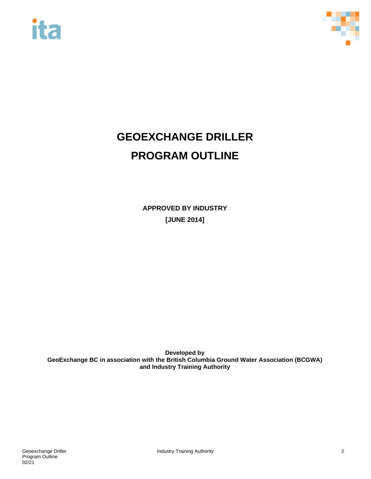



# **GEOEXCHANGE DRILLER PROGRAM OUTLINE**

**APPROVED BY INDUSTRY [JUNE 2014]**

**Developed by GeoExchange BC in association with the British Columbia Ground Water Association (BCGWA) and Industry Training Authority**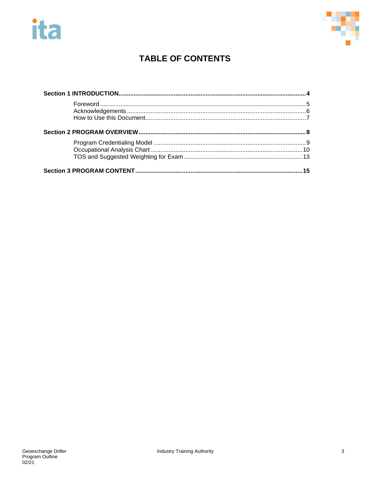



# **TABLE OF CONTENTS**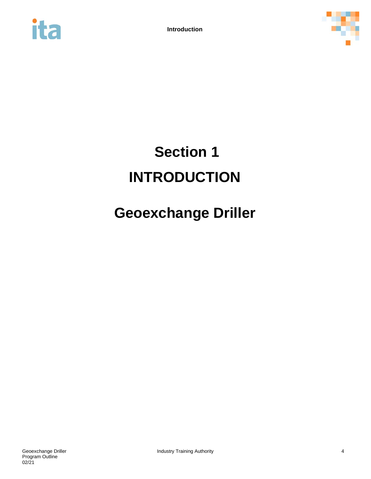



# <span id="page-4-0"></span>**Section 1 INTRODUCTION**

# **Geoexchange Driller**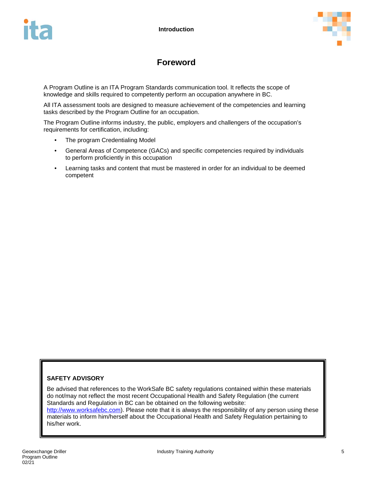



# **Foreword**

<span id="page-5-0"></span>A Program Outline is an ITA Program Standards communication tool. It reflects the scope of knowledge and skills required to competently perform an occupation anywhere in BC.

All ITA assessment tools are designed to measure achievement of the competencies and learning tasks described by the Program Outline for an occupation.

The Program Outline informs industry, the public, employers and challengers of the occupation's requirements for certification, including:

- The program Credentialing Model
- General Areas of Competence (GACs) and specific competencies required by individuals to perform proficiently in this occupation
- Learning tasks and content that must be mastered in order for an individual to be deemed competent

#### **SAFETY ADVISORY**

Be advised that references to the WorkSafe BC safety regulations contained within these materials do not/may not reflect the most recent Occupational Health and Safety Regulation (the current Standards and Regulation in BC can be obtained on the following website:

[http://www.worksafebc.com\)](http://www.worksafebc.com/). Please note that it is always the responsibility of any person using these materials to inform him/herself about the Occupational Health and Safety Regulation pertaining to his/her work.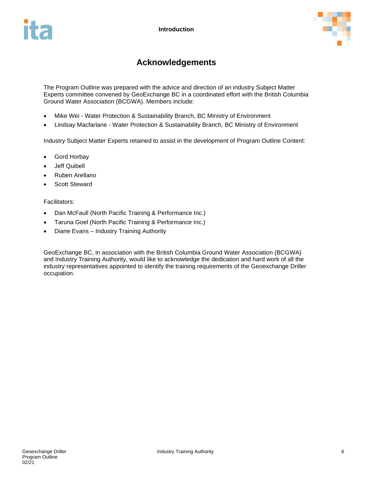

# **Acknowledgements**

<span id="page-6-0"></span>The Program Outline was prepared with the advice and direction of an industry Subject Matter Experts committee convened by GeoExchange BC in a coordinated effort with the British Columbia Ground Water Association (BCGWA). Members include:

- Mike Wei Water Protection & Sustainability Branch, BC Ministry of Environment
- Lindsay Macfarlane Water Protection & Sustainability Branch, BC Ministry of Environment

Industry Subject Matter Experts retained to assist in the development of Program Outline Content:

- Gord Horbay
- Jeff Quibell
- Ruben Arellano
- Scott Steward

Facilitators:

- Dan McFaull (North Pacific Training & Performance Inc.)
- Taruna Goel (North Pacific Training & Performance Inc.)
- Diane Evans Industry Training Authority

GeoExchange BC, in association with the British Columbia Ground Water Association (BCGWA) and Industry Training Authority, would like to acknowledge the dedication and hard work of all the industry representatives appointed to identify the training requirements of the Geoexchange Driller occupation.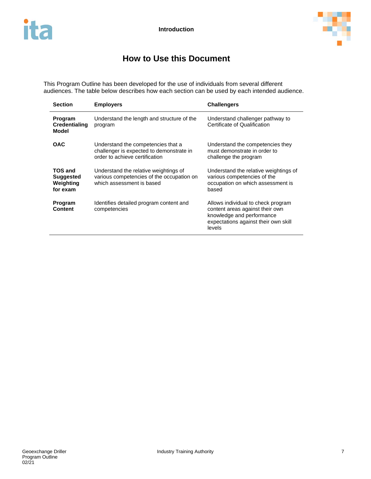

# **How to Use this Document**

<span id="page-7-0"></span>This Program Outline has been developed for the use of individuals from several different audiences. The table below describes how each section can be used by each intended audience.

| <b>Section</b>                                       | <b>Employers</b>                                                                                                 | <b>Challengers</b>                                                                                                                                   |
|------------------------------------------------------|------------------------------------------------------------------------------------------------------------------|------------------------------------------------------------------------------------------------------------------------------------------------------|
| Program<br><b>Credentialing</b><br>Model             | Understand the length and structure of the<br>program                                                            | Understand challenger pathway to<br>Certificate of Qualification                                                                                     |
| <b>OAC</b>                                           | Understand the competencies that a<br>challenger is expected to demonstrate in<br>order to achieve certification | Understand the competencies they<br>must demonstrate in order to<br>challenge the program                                                            |
| TOS and<br><b>Suggested</b><br>Weighting<br>for exam | Understand the relative weightings of<br>various competencies of the occupation on<br>which assessment is based  | Understand the relative weightings of<br>various competencies of the<br>occupation on which assessment is<br>based                                   |
| Program<br><b>Content</b>                            | Identifies detailed program content and<br>competencies                                                          | Allows individual to check program<br>content areas against their own<br>knowledge and performance<br>expectations against their own skill<br>levels |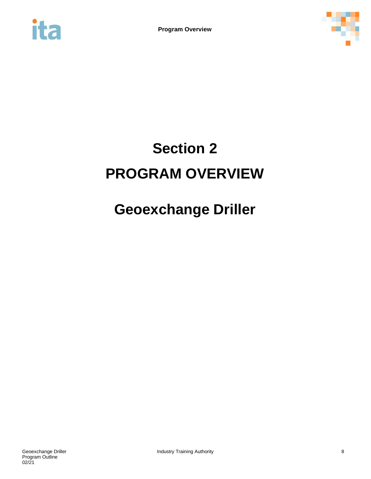<span id="page-8-0"></span>



# **Section 2 PROGRAM OVERVIEW**

# **Geoexchange Driller**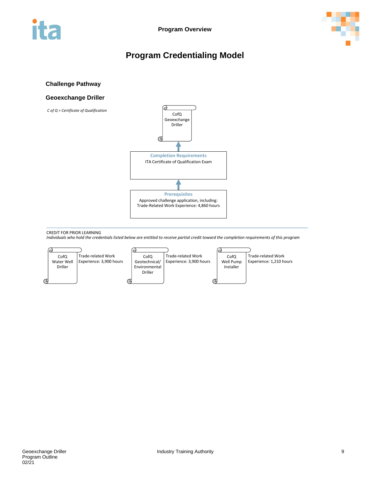<span id="page-9-0"></span>



# **Program Credentialing Model**

#### **Challenge Pathway**

#### **Geoexchange Driller**



CREDIT FOR PRIOR LEARNING

*Individuals who hold the credentials listed below are entitled to receive partial credit toward the completion requirements of this program*

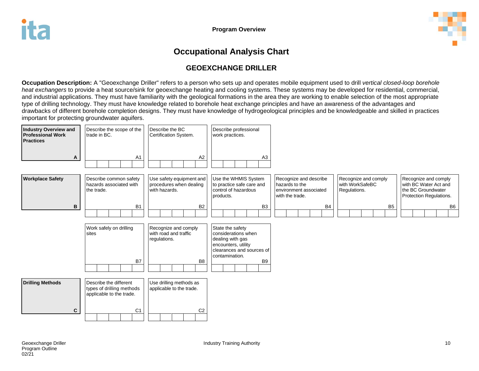

# **Occupational Analysis Chart**

# **GEOEXCHANGE DRILLER**

**Occupation Description:** A "Geoexchange Driller" refers to a person who sets up and operates mobile equipment used to drill *vertical closed-loop borehole heat exchangers* to provide a heat source/sink for geoexchange heating and cooling systems. These systems may be developed for residential, commercial, and industrial applications. They must have familiarity with the geological formations in the area they are working to enable selection of the most appropriate type of drilling technology. They must have knowledge related to borehole heat exchange principles and have an awareness of the advantages and drawbacks of different borehole completion designs. They must have knowledge of hydrogeological principles and be knowledgeable and skilled in practices important for protecting groundwater aquifers.

<span id="page-10-0"></span>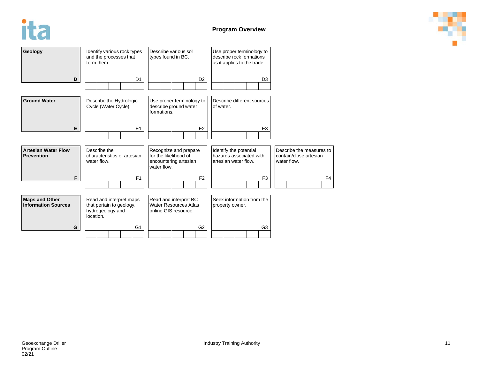



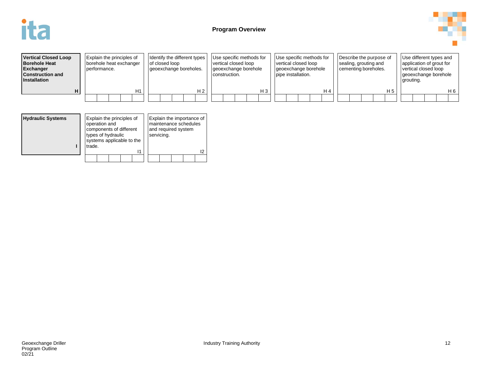



| <b>Vertical Closed Loop</b><br><b>Borehole Heat</b><br><b>Exchanger</b><br><b>Construction and</b><br><b>Installation</b> | <b>Explain the principles of</b><br>borehole heat exchanger<br>Derformance. | Identify the different types<br>of closed loop<br>geoexchange boreholes. | Use specific methods for<br>vertical closed loop<br>geoexchange borehole<br>construction. | Use specific methods for<br>vertical closed loop<br>geoexchange borehole<br>pipe installation. | Describe the purpose of<br>sealing, grouting and<br>cementing boreholes. | Use different types and<br>application of grout for<br>vertical closed loop<br>geoexchange borehole<br>grouting. |  |
|---------------------------------------------------------------------------------------------------------------------------|-----------------------------------------------------------------------------|--------------------------------------------------------------------------|-------------------------------------------------------------------------------------------|------------------------------------------------------------------------------------------------|--------------------------------------------------------------------------|------------------------------------------------------------------------------------------------------------------|--|
|                                                                                                                           | $\overline{14}$                                                             | H 2                                                                      | $H_3$                                                                                     | H 4                                                                                            | H 5                                                                      | H 6                                                                                                              |  |
|                                                                                                                           |                                                                             |                                                                          |                                                                                           |                                                                                                |                                                                          |                                                                                                                  |  |

| <b>Hydraulic Systems</b> | Explain the principles of<br>operation and<br>components of different<br>types of hydraulic<br>systems applicable to the<br>trade. |  |    | servicing. | and required system | Explain the importance of<br>maintenance schedules |    |
|--------------------------|------------------------------------------------------------------------------------------------------------------------------------|--|----|------------|---------------------|----------------------------------------------------|----|
|                          |                                                                                                                                    |  | 11 |            |                     |                                                    | 12 |
|                          |                                                                                                                                    |  |    |            |                     |                                                    |    |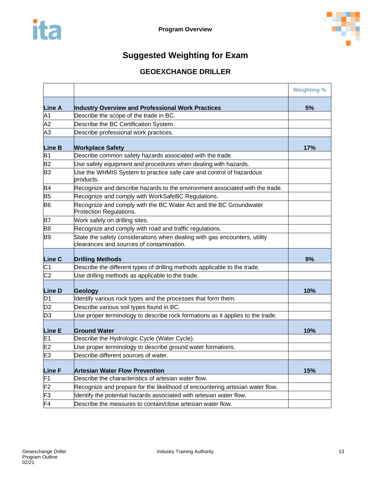

# **Suggested Weighting for Exam**

# **GEOEXCHANGE DRILLER**

<span id="page-13-0"></span>

|                |                                                                                                                       | <b>Weighting %</b> |
|----------------|-----------------------------------------------------------------------------------------------------------------------|--------------------|
| <b>Line A</b>  | Industry Overview and Professional Work Practices                                                                     | 5%                 |
| A1             | Describe the scope of the trade in BC.                                                                                |                    |
| A <sub>2</sub> | Describe the BC Certification System.                                                                                 |                    |
| A <sub>3</sub> | Describe professional work practices.                                                                                 |                    |
| <b>Line B</b>  | <b>Workplace Safety</b>                                                                                               | 17%                |
| B1             | Describe common safety hazards associated with the trade.                                                             |                    |
| <b>B2</b>      | Use safety equipment and procedures when dealing with hazards.                                                        |                    |
| B <sub>3</sub> | Use the WHMIS System to practice safe care and control of hazardous<br>products.                                      |                    |
| B <sub>4</sub> | Recognize and describe hazards to the environment associated with the trade.                                          |                    |
| B <sub>5</sub> | Recognize and comply with WorkSafeBC Regulations.                                                                     |                    |
| B <sub>6</sub> | Recognize and comply with the BC Water Act and the BC Groundwater<br>Protection Regulations.                          |                    |
| <b>B7</b>      | Work safely on drilling sites.                                                                                        |                    |
| B <sub>8</sub> | Recognize and comply with road and traffic regulations.                                                               |                    |
| <b>B</b> 9     | State the safety considerations when dealing with gas encounters, utility<br>clearances and sources of contamination. |                    |
| Line C         | <b>Drilling Methods</b>                                                                                               | 9%                 |
| C <sub>1</sub> | Describe the different types of drilling methods applicable to the trade.                                             |                    |
| C <sub>2</sub> | Use drilling methods as applicable to the trade.                                                                      |                    |
| <b>Line D</b>  | Geology                                                                                                               | 10%                |
| D <sub>1</sub> | Identify various rock types and the processes that form them.                                                         |                    |
| D <sub>2</sub> | Describe various soil types found in BC.                                                                              |                    |
| D <sub>3</sub> | Use proper terminology to describe rock formations as it applies to the trade.                                        |                    |
| Line E         | <b>Ground Water</b>                                                                                                   | 10%                |
| E <sub>1</sub> | Describe the Hydrologic Cycle (Water Cycle).                                                                          |                    |
| E2             | Use proper terminology to describe ground water formations.                                                           |                    |
| E <sub>3</sub> | Describe different sources of water.                                                                                  |                    |
| <b>Line F</b>  | <b>Artesian Water Flow Prevention</b>                                                                                 | 15%                |
| F1             | Describe the characteristics of artesian water flow.                                                                  |                    |
| F <sub>2</sub> | Recognize and prepare for the likelihood of encountering artesian water flow.                                         |                    |
| F3             | Identify the potential hazards associated with artesian water flow.                                                   |                    |
| F <sub>4</sub> | Describe the measures to contain/close artesian water flow.                                                           |                    |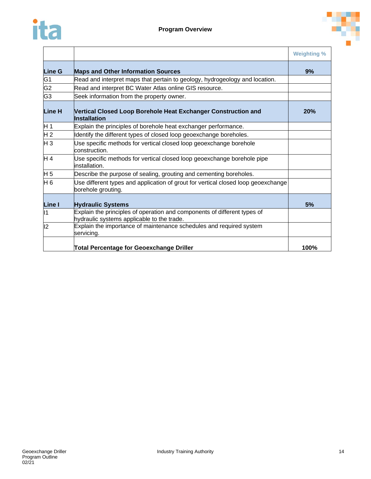



|                |                                                                                                                        | <b>Weighting %</b> |
|----------------|------------------------------------------------------------------------------------------------------------------------|--------------------|
| <b>Line G</b>  | <b>Maps and Other Information Sources</b>                                                                              | 9%                 |
| G1             | Read and interpret maps that pertain to geology, hydrogeology and location.                                            |                    |
| G <sub>2</sub> | Read and interpret BC Water Atlas online GIS resource.                                                                 |                    |
| G <sub>3</sub> | Seek information from the property owner.                                                                              |                    |
| Line H         | Vertical Closed Loop Borehole Heat Exchanger Construction and<br><b>Installation</b>                                   | 20%                |
| H 1            | Explain the principles of borehole heat exchanger performance.                                                         |                    |
| H <sub>2</sub> | Identify the different types of closed loop geoexchange boreholes.                                                     |                    |
| HЗ             | Use specific methods for vertical closed loop geoexchange borehole<br>construction.                                    |                    |
| H 4            | Use specific methods for vertical closed loop geoexchange borehole pipe<br>installation.                               |                    |
| H 5            | Describe the purpose of sealing, grouting and cementing boreholes.                                                     |                    |
| H <sub>6</sub> | Use different types and application of grout for vertical closed loop geoexchange<br>borehole grouting.                |                    |
| Line I         | <b>Hydraulic Systems</b>                                                                                               | 5%                 |
| 11             | Explain the principles of operation and components of different types of<br>hydraulic systems applicable to the trade. |                    |
| 2              | Explain the importance of maintenance schedules and required system<br>servicing.                                      |                    |
|                | <b>Total Percentage for Geoexchange Driller</b>                                                                        | 100%               |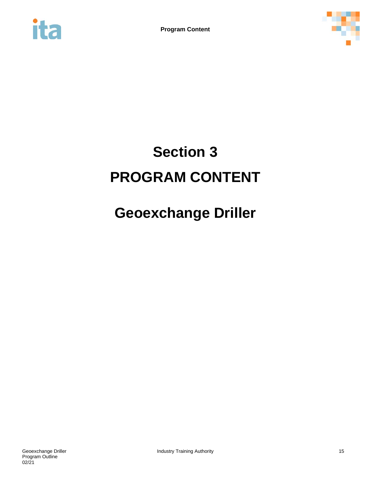<span id="page-15-0"></span>



# **Section 3 PROGRAM CONTENT**

# **Geoexchange Driller**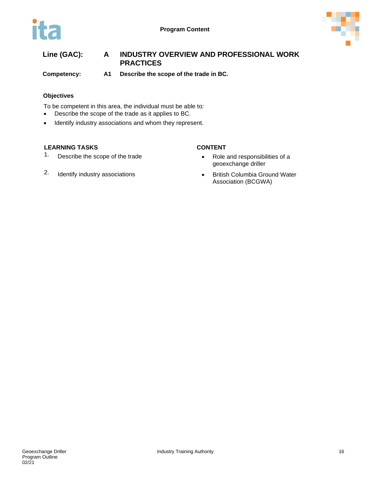

## **Line (GAC): A INDUSTRY OVERVIEW AND PROFESSIONAL WORK PRACTICES**

**Competency: A1 Describe the scope of the trade in BC.**

#### **Objectives**

To be competent in this area, the individual must be able to:

- Describe the scope of the trade as it applies to BC.
- Identify industry associations and whom they represent.

### **LEARNING TASKS CONTENT**

1. Describe the scope of the trade **•** Role and responsibilities of a

# 2. Identify industry associations **•** British Columbia Ground Water

- geoexchange driller
- Association (BCGWA)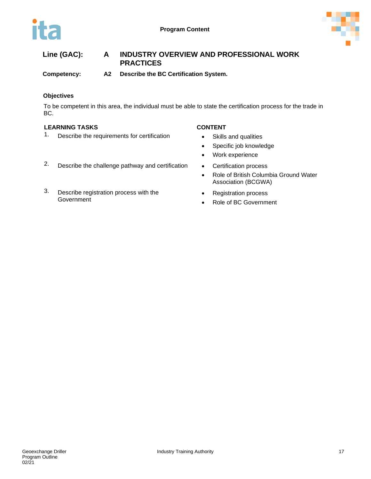

# **Line (GAC): A INDUSTRY OVERVIEW AND PROFESSIONAL WORK PRACTICES**

**Competency: A2 Describe the BC Certification System.**

### **Objectives**

To be competent in this area, the individual must be able to state the certification process for the trade in BC.

#### **LEARNING TASKS CONTENT**

1. Describe the requirements for certification • Skills and qualities

- 
- Specific job knowledge
- Work experience
- 
- Role of British Columbia Ground Water Association (BCGWA)
- Registration process
- Role of BC Government
- 2. Describe the challenge pathway and certification Certification process
- 3. Describe registration process with the **Government**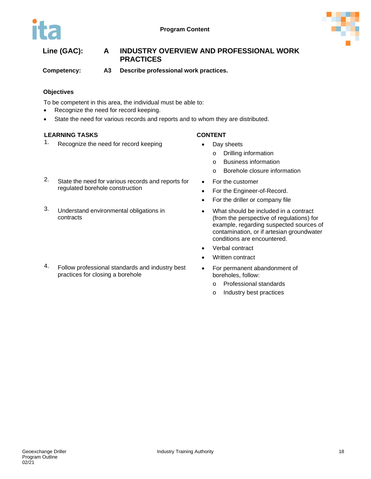

# **Line (GAC): A INDUSTRY OVERVIEW AND PROFESSIONAL WORK PRACTICES**

**Competency: A3 Describe professional work practices.**

#### **Objectives**

To be competent in this area, the individual must be able to:

- Recognize the need for record keeping.
- State the need for various records and reports and to whom they are distributed.

#### **LEARNING TASKS CONTENT**

- 1. Recognize the need for record keeping Day sheets
	- - o Drilling information
		- o Business information
		- o Borehole closure information
- 2. State the need for various records and reports for regulated borehole construction
- 3. Understand environmental obligations in contracts
- 4. Follow professional standards and industry best practices for closing a borehole
- For the customer
- For the Engineer-of-Record.
- For the driller or company file
- What should be included in a contract (from the perspective of regulations) for example, regarding suspected sources of contamination, or if artesian groundwater conditions are encountered.
- Verbal contract
- Written contract
- For permanent abandonment of boreholes, follow:
	- o Professional standards
	- o Industry best practices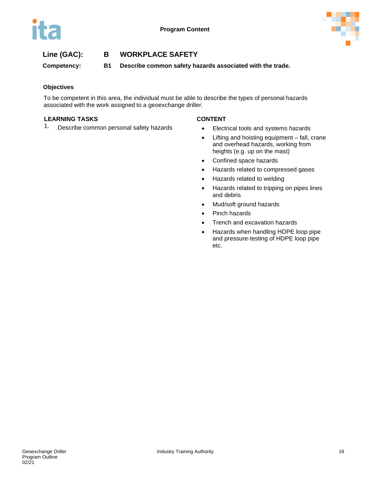



**Competency: B1 Describe common safety hazards associated with the trade.**

### **Objectives**

To be competent in this area, the individual must be able to describe the types of personal hazards associated with the work assigned to a geoexchange driller.

#### **LEARNING TASKS CONTENT**

1. Describe common personal safety hazards • Electrical tools and systems hazards

- 
- Lifting and hoisting equipment fall, crane and overhead hazards, working from heights (e.g. up on the mast)
- Confined space hazards
- Hazards related to compressed gases
- Hazards related to welding
- Hazards related to tripping on pipes lines and debris
- Mud/soft ground hazards
- Pinch hazards
- Trench and excavation hazards
- Hazards when handling HDPE loop pipe and pressure-testing of HDPE loop pipe etc.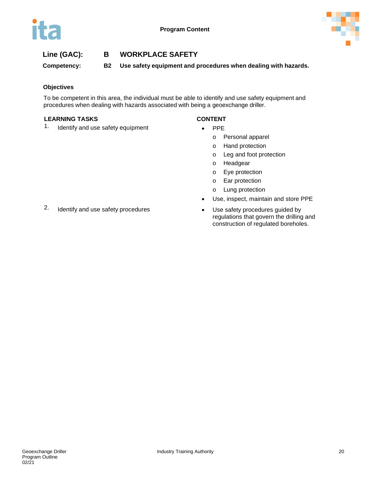

**Competency: B2 Use safety equipment and procedures when dealing with hazards.**

#### **Objectives**

To be competent in this area, the individual must be able to identify and use safety equipment and procedures when dealing with hazards associated with being a geoexchange driller.

#### **LEARNING TASKS CONTENT**

1. Identify and use safety equipment • PPE

- - o Personal apparel
	- o Hand protection
	- o Leg and foot protection
	- o Headgear
	- o Eye protection
	- o Ear protection
	- o Lung protection
- Use, inspect, maintain and store PPE
- regulations that govern the drilling and construction of regulated boreholes.
- 2. Identify and use safety procedures Use safety procedures guided by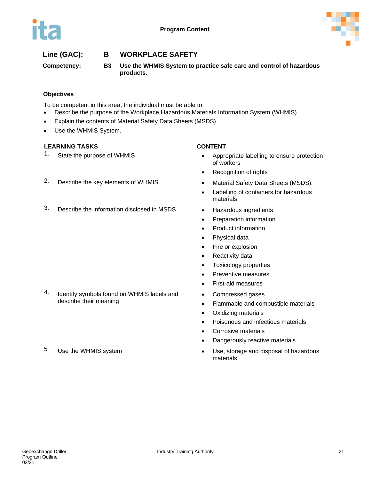



**Competency: B3 Use the WHMIS System to practice safe care and control of hazardous products.**

### **Objectives**

To be competent in this area, the individual must be able to:

- Describe the purpose of the Workplace Hazardous Materials Information System (WHMIS).
- Explain the contents of Material Safety Data Sheets (MSDS).
- Use the WHMIS System.

#### **LEARNING TASKS CONTENT**

- 1. State the purpose of WHMIS **•** Appropriate labelling to ensure protection of workers
	- Recognition of rights
- 2. Describe the key elements of WHMIS Material Safety Data Sheets (MSDS).
	- Labelling of containers for hazardous materials
	-
	- Preparation information
	- Product information
	- Physical data
	- Fire or explosion
	- Reactivity data
	- Toxicology properties
	- Preventive measures
	- First-aid measures
	- Compressed gases
	- Flammable and combustible materials
	- Oxidizing materials
	- Poisonous and infectious materials
	- Corrosive materials
	- Dangerously reactive materials
- 5 Use the WHMIS system **•** Use, storage and disposal of hazardous materials
- 
- 3. Describe the information disclosed in MSDS Hazardous ingredients

- 4. Identify symbols found on WHMIS labels and describe their meaning
-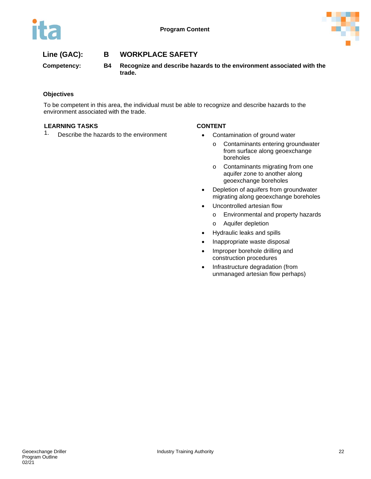



**Competency: B4 Recognize and describe hazards to the environment associated with the trade.**

### **Objectives**

To be competent in this area, the individual must be able to recognize and describe hazards to the environment associated with the trade.

#### **LEARNING TASKS CONTENT**

1. Describe the hazards to the environment • Contamination of ground water

- - o Contaminants entering groundwater from surface along geoexchange boreholes
	- o Contaminants migrating from one aquifer zone to another along geoexchange boreholes
- Depletion of aquifers from groundwater migrating along geoexchange boreholes
- Uncontrolled artesian flow
	- o Environmental and property hazards
	- o Aquifer depletion
- Hydraulic leaks and spills
- Inappropriate waste disposal
- Improper borehole drilling and construction procedures
- Infrastructure degradation (from unmanaged artesian flow perhaps)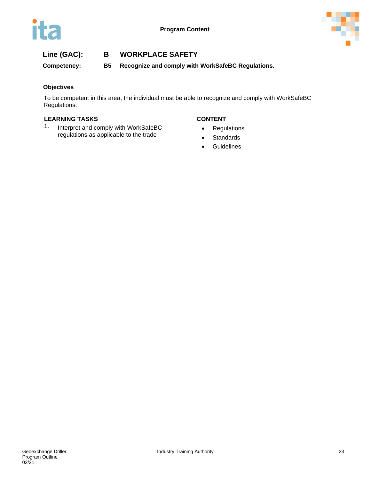

**Competency: B5 Recognize and comply with WorkSafeBC Regulations.**

### **Objectives**

To be competent in this area, the individual must be able to recognize and comply with WorkSafeBC Regulations.

### **LEARNING TASKS CONTENT**

1. Interpret and comply with WorkSafeBC regulations as applicable to the trade

- Regulations
- Standards
- Guidelines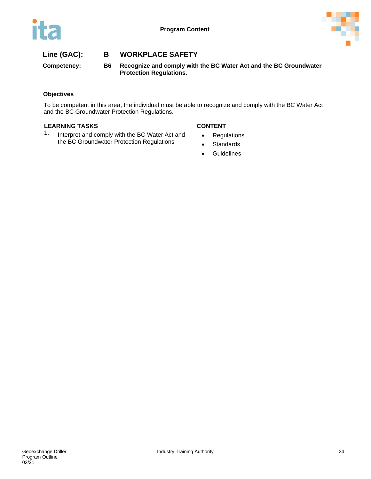



**Competency: B6 Recognize and comply with the BC Water Act and the BC Groundwater Protection Regulations.**

### **Objectives**

To be competent in this area, the individual must be able to recognize and comply with the BC Water Act and the BC Groundwater Protection Regulations.

#### **LEARNING TASKS CONTENT**

1. Interpret and comply with the BC Water Act and the BC Groundwater Protection Regulations

- Regulations
- Standards
- Guidelines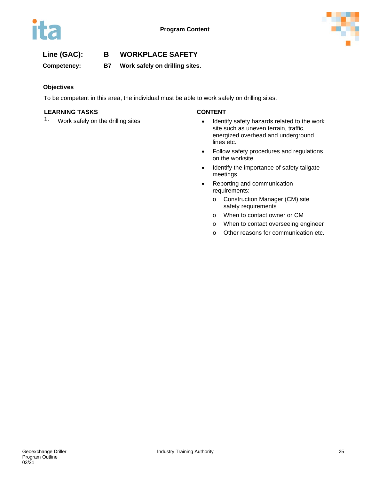

**Competency: B7 Work safely on drilling sites.**

### **Objectives**

To be competent in this area, the individual must be able to work safely on drilling sites.

### **LEARNING TASKS CONTENT**

- 1. Work safely on the drilling sites **•** Identify safety hazards related to the work site such as uneven terrain, traffic, energized overhead and underground lines etc.
	- Follow safety procedures and regulations on the worksite
	- Identify the importance of safety tailgate meetings
	- Reporting and communication requirements:
		- o Construction Manager (CM) site safety requirements
		- o When to contact owner or CM
		- o When to contact overseeing engineer
		- o Other reasons for communication etc.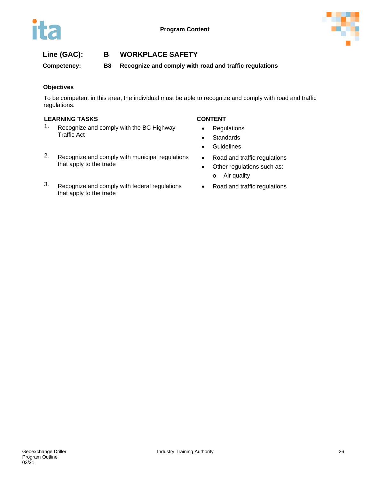

**Competency: B8 Recognize and comply with road and traffic regulations**

### **Objectives**

To be competent in this area, the individual must be able to recognize and comply with road and traffic regulations.

### **LEARNING TASKS CONTENT**

- 1. Recognize and comply with the BC Highway Traffic Act
- 2. Recognize and comply with municipal regulations that apply to the trade
- 3. Recognize and comply with federal regulations that apply to the trade

- Regulations
- Standards
- Guidelines
- Road and traffic regulations
- Other regulations such as: o Air quality
- Road and traffic regulations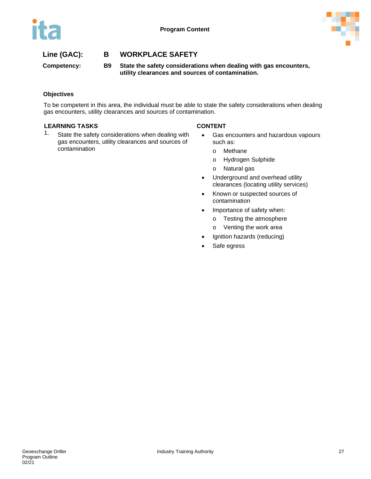



**Competency: B9 State the safety considerations when dealing with gas encounters, utility clearances and sources of contamination.**

### **Objectives**

To be competent in this area, the individual must be able to state the safety considerations when dealing gas encounters, utility clearances and sources of contamination.

#### **LEARNING TASKS CONTENT**

1. State the safety considerations when dealing with gas encounters, utility clearances and sources of contamination

- Gas encounters and hazardous vapours such as:
	- o Methane
	- o Hydrogen Sulphide
	- o Natural gas
- Underground and overhead utility clearances (locating utility services)
- Known or suspected sources of contamination
- Importance of safety when:
	- o Testing the atmosphere
	- o Venting the work area
- Ignition hazards (reducing)
- Safe egress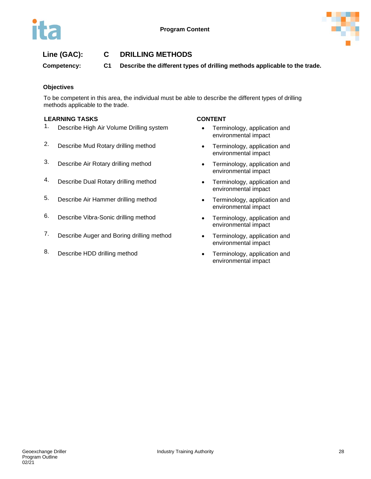

## **Line (GAC): C DRILLING METHODS**

**Competency: C1 Describe the different types of drilling methods applicable to the trade.**

#### **Objectives**

To be competent in this area, the individual must be able to describe the different types of drilling methods applicable to the trade.

#### **LEARNING TASKS CONTENT**

- 1. Describe High Air Volume Drilling system Terminology, application and
- 2. Describe Mud Rotary drilling method **•** Terminology, application and
- 3. Describe Air Rotary drilling method Terminology, application and
- 4. Describe Dual Rotary drilling method **•** Terminology, application and
- 5. Describe Air Hammer drilling method Terminology, application and
- 6. Describe Vibra-Sonic drilling method Terminology, application and
- 7. Describe Auger and Boring drilling method Terminology, application and
- 8. Describe HDD drilling method **•** Terminology, application and

- environmental impact
- environmental impact
- environmental impact
- environmental impact
- environmental impact
- environmental impact
- environmental impact
- environmental impact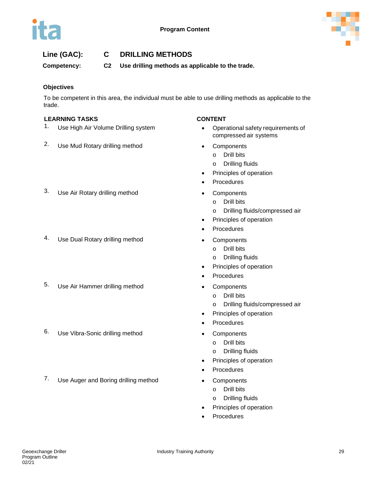

## **Line (GAC): C DRILLING METHODS**

**Competency: C2 Use drilling methods as applicable to the trade.**

### **Objectives**

To be competent in this area, the individual must be able to use drilling methods as applicable to the trade.

#### **LEARNING TASKS CONTENT**

- 1. Use High Air Volume Drilling system **•** Operational safety requirements of
- 2. Use Mud Rotary drilling method Components

- compressed air systems
- - o Drill bits
	- o Drilling fluids
- Principles of operation
- **Procedures**
- - o Drill bits
	- o Drilling fluids/compressed air
- Principles of operation
- **Procedures** 
	-
	- o Drill bits
	- o Drilling fluids
- Principles of operation
- **Procedures**
- - o Drill bits
	- o Drilling fluids/compressed air
- Principles of operation
- **Procedures**
- - o Drill bits
	- o Drilling fluids
- Principles of operation
- **Procedures**
- - o Drill bits
	- o Drilling fluids
- Principles of operation
- **Procedures**

# 3. Use Air Rotary drilling method • Components

- 4. Use Dual Rotary drilling method Components
- 5. Use Air Hammer drilling method Components
- 6. Use Vibra-Sonic drilling method Components
- 7. Use Auger and Boring drilling method Components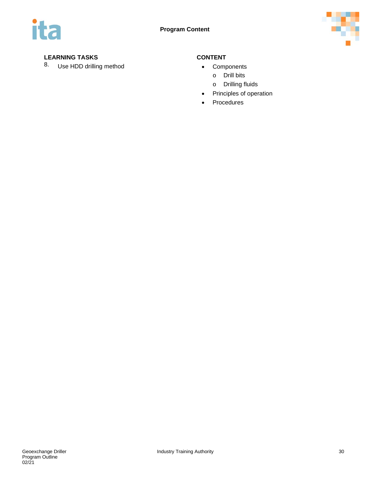

### **LEARNING TASKS CONTENT**

8. Use HDD drilling method **•** Components

- 
- o Drill bits
	- o Drilling fluids
- Principles of operation
- Procedures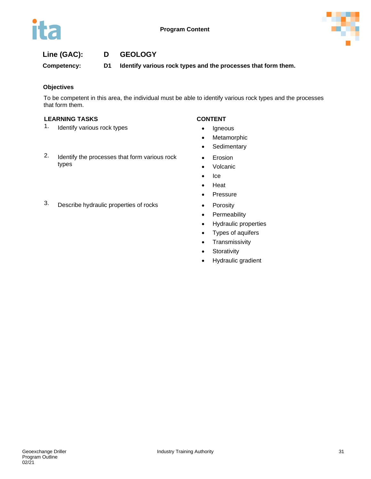

# **Line (GAC): D GEOLOGY**

**Competency: D1 Identify various rock types and the processes that form them.**

### **Objectives**

To be competent in this area, the individual must be able to identify various rock types and the processes that form them.

### **LEARNING TASKS CONTENT**

- 1. Identify various rock types **•** Igneous
- 2. Identify the processes that form various rock types

- 
- Metamorphic
- **Sedimentary**
- Erosion
- Volcanic
- Ice
- Heat
- Pressure
- 
- Permeability
- Hydraulic properties
- Types of aquifers
- Transmissivity
- Storativity
- Hydraulic gradient

3. Describe hydraulic properties of rocks • Porosity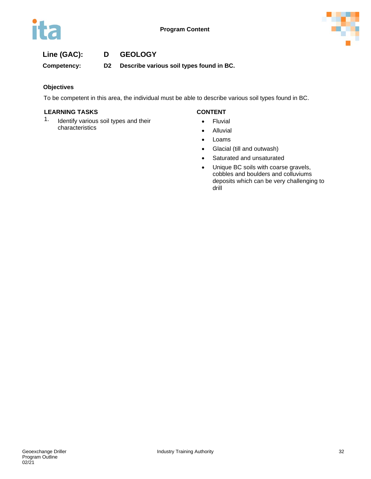



## **Line (GAC): D GEOLOGY**

**Competency: D2 Describe various soil types found in BC.**

#### **Objectives**

To be competent in this area, the individual must be able to describe various soil types found in BC.

#### **LEARNING TASKS CONTENT**

1. Identify various soil types and their characteristics

- Fluvial
- Alluvial
- Loams
- Glacial (till and outwash)
- Saturated and unsaturated
- Unique BC soils with coarse gravels, cobbles and boulders and colluviums deposits which can be very challenging to drill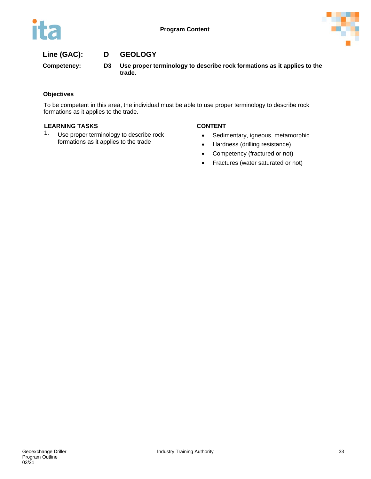

# **Line (GAC): D GEOLOGY**

**Competency: D3 Use proper terminology to describe rock formations as it applies to the trade.**

### **Objectives**

To be competent in this area, the individual must be able to use proper terminology to describe rock formations as it applies to the trade.

#### **LEARNING TASKS CONTENT**

1. Use proper terminology to describe rock formations as it applies to the trade

- Sedimentary, igneous, metamorphic
- Hardness (drilling resistance)
- Competency (fractured or not)
- Fractures (water saturated or not)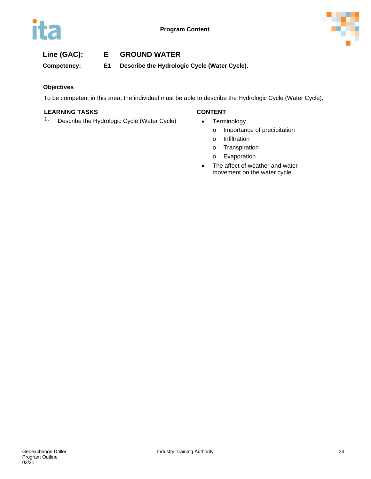

## **Line (GAC): E GROUND WATER**

**Competency: E1 Describe the Hydrologic Cycle (Water Cycle).**

#### **Objectives**

To be competent in this area, the individual must be able to describe the Hydrologic Cycle (Water Cycle).

### **LEARNING TASKS CONTENT**

1. Describe the Hydrologic Cycle (Water Cycle) • Terminology

- - o Importance of precipitation
	- o Infiltration
	- o Transpiration
	- o Evaporation
- The affect of weather and water movement on the water cycle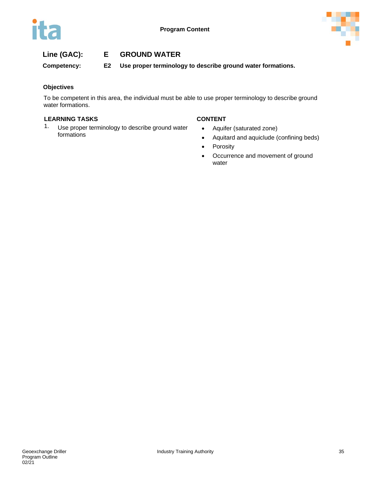

# **Line (GAC): E GROUND WATER**

**Competency: E2 Use proper terminology to describe ground water formations.**

#### **Objectives**

To be competent in this area, the individual must be able to use proper terminology to describe ground water formations.

### **LEARNING TASKS CONTENT**

1. Use proper terminology to describe ground water formations

- Aquifer (saturated zone)
- Aquitard and aquiclude (confining beds)
- Porosity
- Occurrence and movement of ground water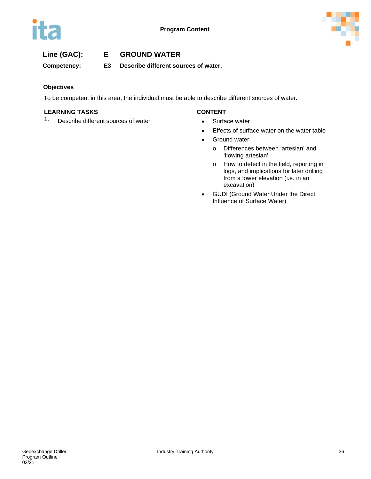

## **Line (GAC): E GROUND WATER**

**Competency: E3 Describe different sources of water.**

#### **Objectives**

To be competent in this area, the individual must be able to describe different sources of water.

#### **LEARNING TASKS CONTENT**

1. Describe different sources of water **•** Surface water

- 
- Effects of surface water on the water table
- Ground water
	- o Differences between 'artesian' and 'flowing artesian'
	- o How to detect in the field, reporting in logs, and implications for later drilling from a lower elevation (i.e. in an excavation)
- GUDI (Ground Water Under the Direct Influence of Surface Water)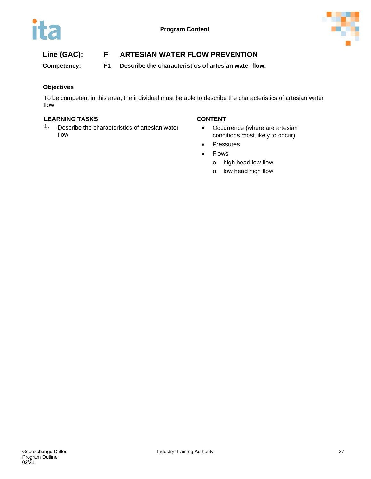

**Competency: F1 Describe the characteristics of artesian water flow.**

### **Objectives**

To be competent in this area, the individual must be able to describe the characteristics of artesian water flow.

### **LEARNING TASKS CONTENT**

1. Describe the characteristics of artesian water flow

- Occurrence (where are artesian conditions most likely to occur)
- Pressures
- Flows
	- o high head low flow
	- o low head high flow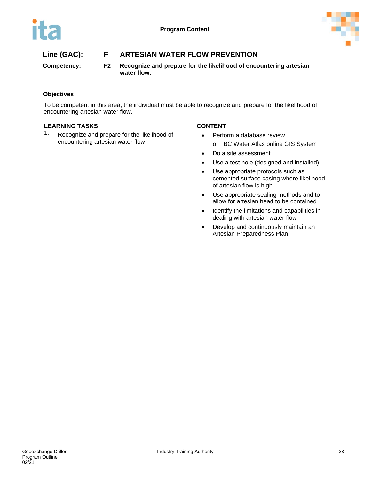

**Competency: F2 Recognize and prepare for the likelihood of encountering artesian water flow.**

### **Objectives**

To be competent in this area, the individual must be able to recognize and prepare for the likelihood of encountering artesian water flow.

#### **LEARNING TASKS CONTENT**

1. Recognize and prepare for the likelihood of encountering artesian water flow

- Perform a database review
	- o BC Water Atlas online GIS System
- Do a site assessment
- Use a test hole (designed and installed)
- Use appropriate protocols such as cemented surface casing where likelihood of artesian flow is high
- Use appropriate sealing methods and to allow for artesian head to be contained
- Identify the limitations and capabilities in dealing with artesian water flow
- Develop and continuously maintain an Artesian Preparedness Plan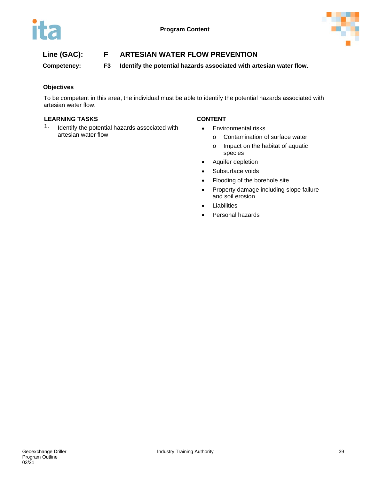

**Competency: F3 Identify the potential hazards associated with artesian water flow.**

#### **Objectives**

To be competent in this area, the individual must be able to identify the potential hazards associated with artesian water flow.

#### **LEARNING TASKS CONTENT**

1. Identify the potential hazards associated with artesian water flow

- Environmental risks
	- o Contamination of surface water
	- o Impact on the habitat of aquatic species
- Aquifer depletion
- Subsurface voids
- Flooding of the borehole site
- Property damage including slope failure and soil erosion
- **Liabilities**
- Personal hazards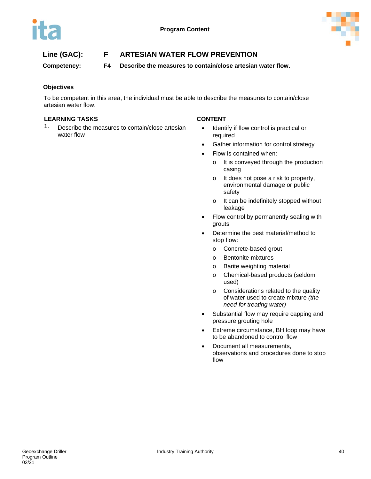

**Competency: F4 Describe the measures to contain/close artesian water flow.**

### **Objectives**

To be competent in this area, the individual must be able to describe the measures to contain/close artesian water flow.

#### **LEARNING TASKS CONTENT**

1. Describe the measures to contain/close artesian water flow

- Identify if flow control is practical or required
- Gather information for control strategy
- Flow is contained when:
	- o It is conveyed through the production casing
	- o It does not pose a risk to property, environmental damage or public safety
	- o It can be indefinitely stopped without leakage
- Flow control by permanently sealing with grouts
- Determine the best material/method to stop flow:
	- o Concrete-based grout
	- o Bentonite mixtures
	- o Barite weighting material
	- o Chemical-based products (seldom used)
	- o Considerations related to the quality of water used to create mixture *(the need for treating water)*
- Substantial flow may require capping and pressure grouting hole
- Extreme circumstance, BH loop may have to be abandoned to control flow
- Document all measurements, observations and procedures done to stop flow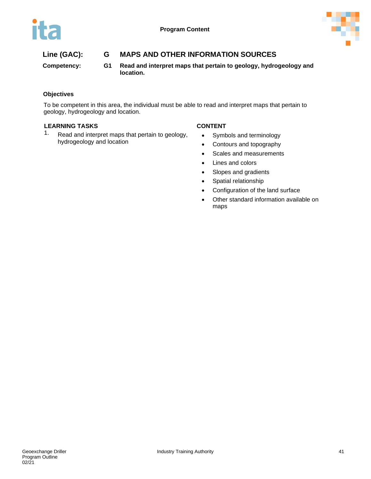

# **Line (GAC): G MAPS AND OTHER INFORMATION SOURCES**

**Competency: G1 Read and interpret maps that pertain to geology, hydrogeology and location.**

### **Objectives**

To be competent in this area, the individual must be able to read and interpret maps that pertain to geology, hydrogeology and location.

#### **LEARNING TASKS CONTENT**

1. Read and interpret maps that pertain to geology, hydrogeology and location

- Symbols and terminology
- Contours and topography
- Scales and measurements
- Lines and colors
- Slopes and gradients
- Spatial relationship
- Configuration of the land surface
- Other standard information available on maps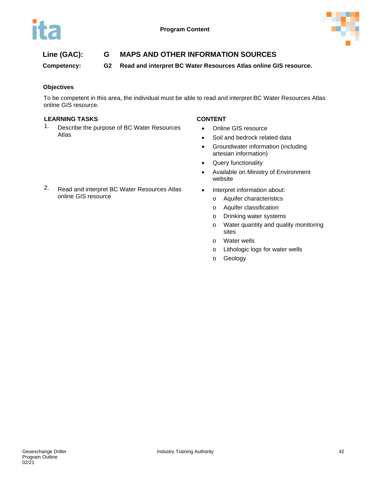

# **Line (GAC): G MAPS AND OTHER INFORMATION SOURCES**

**Competency: G2 Read and interpret BC Water Resources Atlas online GIS resource.** 

### **Objectives**

To be competent in this area, the individual must be able to read and interpret BC Water Resources Atlas online GIS resource.

#### **LEARNING TASKS CONTENT**

1. Describe the purpose of BC Water Resources Atlas

- Online GIS resource
- Soil and bedrock related data
- Groundwater information (including artesian information)
- Query functionality
- Available on Ministry of Environment website
- Interpret information about:
	- o Aquifer characteristics
	- o Aquifer classification
	- o Drinking water systems
	- o Water quantity and quality monitoring sites
	- o Water wells
	- o Lithologic logs for water wells
	- o Geology

2. Read and interpret BC Water Resources Atlas online GIS resource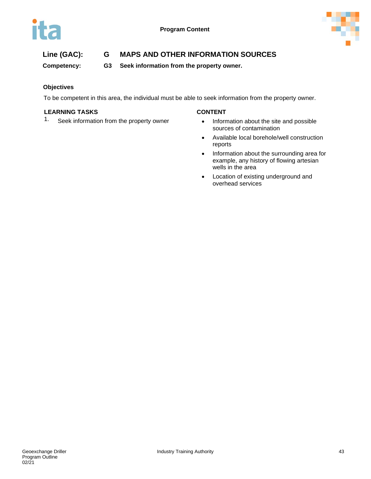



# **Line (GAC): G MAPS AND OTHER INFORMATION SOURCES**

**Competency: G3 Seek information from the property owner.**

### **Objectives**

To be competent in this area, the individual must be able to seek information from the property owner.

### **LEARNING TASKS CONTENT**

1. Seek information from the property owner • Information about the site and possible

- sources of contamination
- Available local borehole/well construction reports
- Information about the surrounding area for example, any history of flowing artesian wells in the area
- Location of existing underground and overhead services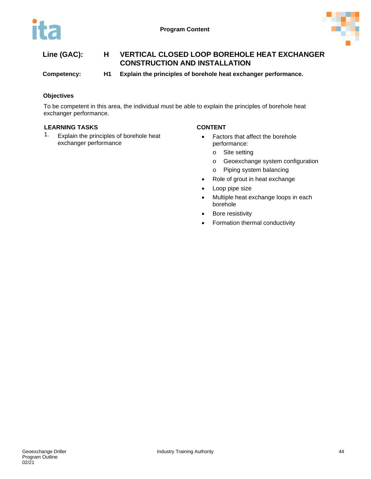

**Competency: H1 Explain the principles of borehole heat exchanger performance.**

### **Objectives**

To be competent in this area, the individual must be able to explain the principles of borehole heat exchanger performance.

### **LEARNING TASKS CONTENT**

1. Explain the principles of borehole heat exchanger performance

- Factors that affect the borehole performance:
	- o Site setting
	- o Geoexchange system configuration
	- o Piping system balancing
- Role of grout in heat exchange
- Loop pipe size
- Multiple heat exchange loops in each borehole
- Bore resistivity
- Formation thermal conductivity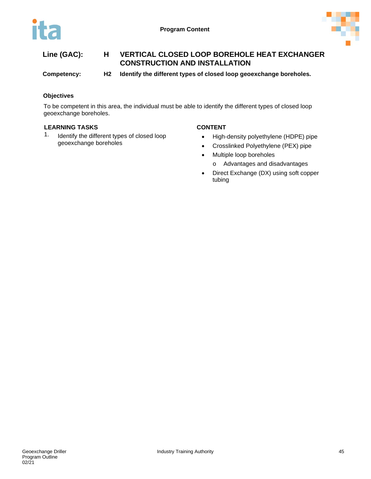

**Competency: H2 Identify the different types of closed loop geoexchange boreholes.**

### **Objectives**

To be competent in this area, the individual must be able to identify the different types of closed loop geoexchange boreholes.

#### **LEARNING TASKS CONTENT**

1. Identify the different types of closed loop geoexchange boreholes

- High-density polyethylene (HDPE) pipe
- Crosslinked Polyethylene (PEX) pipe
- Multiple loop boreholes
	- o Advantages and disadvantages
- Direct Exchange (DX) using soft copper tubing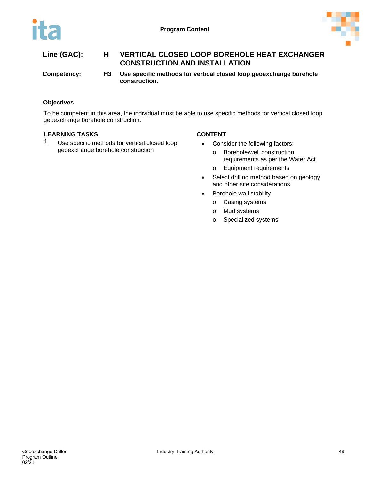

| Line (GAC):          | <b>VERTICAL CLOSED LOOP BOREHOLE HEAT EXCHANGER</b><br><b>CONSTRUCTION AND INSTALLATION</b> |
|----------------------|---------------------------------------------------------------------------------------------|
| Andrew at the series | المالمسترا ويرويها وينوعون وروعا الموجاج المواطنين ويتركبها والموافقين واللوميون ومال       |

**Competency: H3 Use specific methods for vertical closed loop geoexchange borehole construction.**

### **Objectives**

To be competent in this area, the individual must be able to use specific methods for vertical closed loop geoexchange borehole construction.

### **LEARNING TASKS CONTENT**

1. Use specific methods for vertical closed loop geoexchange borehole construction

- Consider the following factors:
	- o Borehole/well construction requirements as per the Water Act
	- o Equipment requirements
- Select drilling method based on geology and other site considerations
- Borehole wall stability
	- o Casing systems
	- o Mud systems
	- o Specialized systems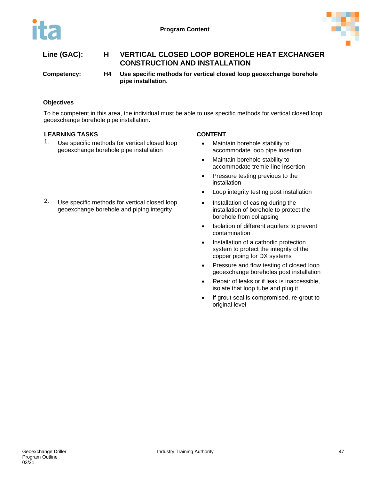

**Competency: H4 Use specific methods for vertical closed loop geoexchange borehole pipe installation.**

### **Objectives**

To be competent in this area, the individual must be able to use specific methods for vertical closed loop geoexchange borehole pipe installation.

### **LEARNING TASKS CONTENT**

1. Use specific methods for vertical closed loop geoexchange borehole pipe installation

2. Use specific methods for vertical closed loop geoexchange borehole and piping integrity

- Maintain borehole stability to accommodate loop pipe insertion
- Maintain borehole stability to accommodate tremie-line insertion
- Pressure testing previous to the installation
- Loop integrity testing post installation
- Installation of casing during the installation of borehole to protect the borehole from collapsing
- Isolation of different aquifers to prevent contamination
- Installation of a cathodic protection system to protect the integrity of the copper piping for DX systems
- Pressure and flow testing of closed loop geoexchange boreholes post installation
- Repair of leaks or if leak is inaccessible, isolate that loop tube and plug it
- If grout seal is compromised, re-grout to original level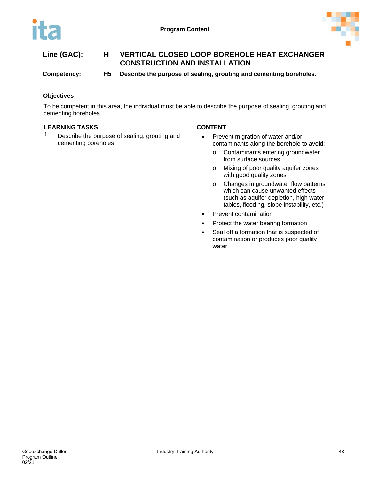

**Competency: H5 Describe the purpose of sealing, grouting and cementing boreholes.**

### **Objectives**

To be competent in this area, the individual must be able to describe the purpose of sealing, grouting and cementing boreholes.

#### **LEARNING TASKS CONTENT**

1. Describe the purpose of sealing, grouting and cementing boreholes

- Prevent migration of water and/or contaminants along the borehole to avoid:
	- o Contaminants entering groundwater from surface sources
	- o Mixing of poor quality aquifer zones with good quality zones
	- o Changes in groundwater flow patterns which can cause unwanted effects (such as aquifer depletion, high water tables, flooding, slope instability, etc.)
- Prevent contamination
- Protect the water bearing formation
- Seal off a formation that is suspected of contamination or produces poor quality water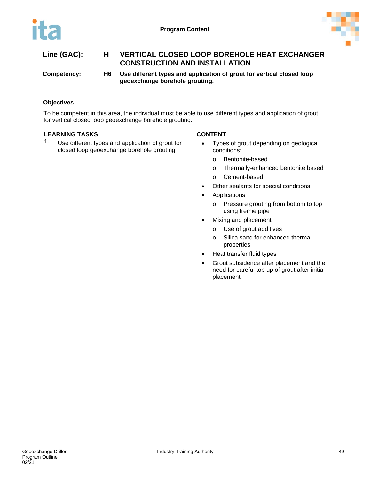

**Competency: H6 Use different types and application of grout for vertical closed loop geoexchange borehole grouting.**

### **Objectives**

To be competent in this area, the individual must be able to use different types and application of grout for vertical closed loop geoexchange borehole grouting.

#### **LEARNING TASKS CONTENT**

1. Use different types and application of grout for closed loop geoexchange borehole grouting

- Types of grout depending on geological conditions:
	- o Bentonite-based
	- o Thermally-enhanced bentonite based
	- o Cement-based
- Other sealants for special conditions
- **Applications** 
	- o Pressure grouting from bottom to top using tremie pipe
- Mixing and placement
	- o Use of grout additives
	- o Silica sand for enhanced thermal properties
- Heat transfer fluid types
- Grout subsidence after placement and the need for careful top up of grout after initial placement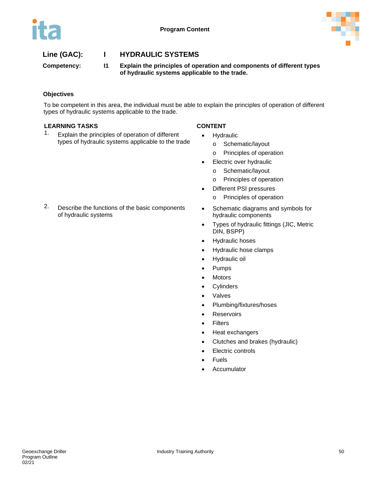

# **Line (GAC): I HYDRAULIC SYSTEMS**

**Competency: I1 Explain the principles of operation and components of different types of hydraulic systems applicable to the trade.**

### **Objectives**

To be competent in this area, the individual must be able to explain the principles of operation of different types of hydraulic systems applicable to the trade.

### **LEARNING TASKS CONTENT**

1. Explain the principles of operation of different types of hydraulic systems applicable to the trade

- **Hydraulic** 
	- o Schematic/layout
	- o Principles of operation
- Electric over hydraulic
	- o Schematic/layout
	- o Principles of operation
- Different PSI pressures
	- o Principles of operation
- Schematic diagrams and symbols for hydraulic components
- Types of hydraulic fittings (JIC, Metric DIN, BSPP)
- Hydraulic hoses
- Hydraulic hose clamps
- Hydraulic oil
- Pumps
- **Motors**
- Cylinders
- Valves
- Plumbing/fixtures/hoses
- **Reservoirs**
- Filters
- Heat exchangers
- Clutches and brakes (hydraulic)
- **Electric controls**
- Fuels
- **Accumulator**

2. Describe the functions of the basic components of hydraulic systems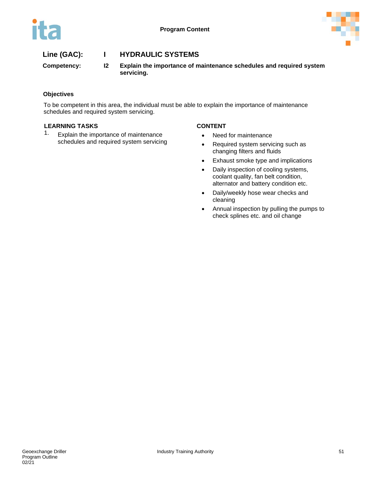

# **Line (GAC): I HYDRAULIC SYSTEMS**

**Competency: I2 Explain the importance of maintenance schedules and required system servicing.**

### **Objectives**

To be competent in this area, the individual must be able to explain the importance of maintenance schedules and required system servicing.

#### **LEARNING TASKS CONTENT**

1. Explain the importance of maintenance schedules and required system servicing

- Need for maintenance
- Required system servicing such as changing filters and fluids
- Exhaust smoke type and implications
- Daily inspection of cooling systems, coolant quality, fan belt condition, alternator and battery condition etc.
- Daily/weekly hose wear checks and cleaning
- Annual inspection by pulling the pumps to check splines etc. and oil change